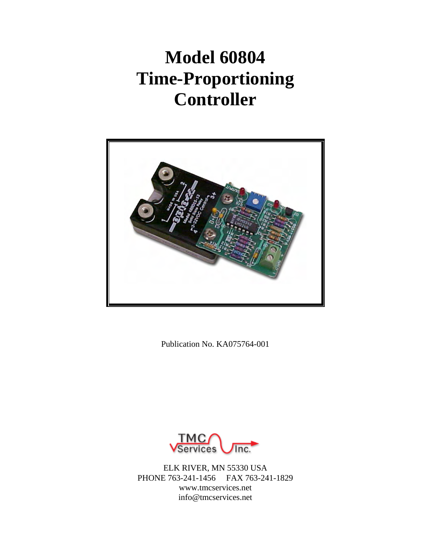# **Model 60804 Time-Proportioning Controller**



Publication No. KA075764-001



ELK RIVER, MN 55330 USA PHONE 763-241-1456 FAX 763-241-1829 www.tmcservices.net info@tmcservices.net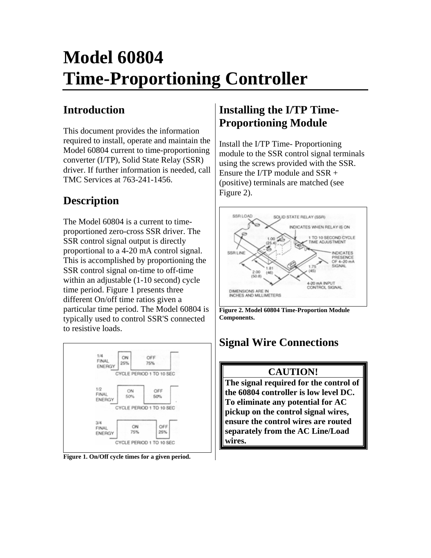# **Model 60804 Time-Proportioning Controller**

# **Introduction**

This document provides the information required to install, operate and maintain the Model 60804 current to time-proportioning converter (I/TP), Solid State Relay (SSR) driver. If further information is needed, call TMC Services at 763-241-1456.

# **Description**

The Model 60804 is a current to timeproportioned zero-cross SSR driver. The SSR control signal output is directly proportional to a 4-20 mA control signal. This is accomplished by proportioning the SSR control signal on-time to off-time within an adjustable (1-10 second) cycle time period. Figure 1 presents three different On/off time ratios given a particular time period. The Model 60804 is typically used to control SSR'S connected to resistive loads.



**Figure 1. On/Off cycle times for a given period.** 

## **Installing the I/TP Time-Proportioning Module**

Install the I/TP Time- Proportioning module to the SSR control signal terminals using the screws provided with the SSR. Ensure the I/TP module and SSR + (positive) terminals are matched (see Figure 2).



**Figure 2. Model 60804 Time-Proportion Module Components.** 

# **Signal Wire Connections**

## **CAUTION!**

**The signal required for the control of the 60804 controller is low level DC. To eliminate any potential for AC pickup on the control signal wires, ensure the control wires are routed separately from the AC Line/Load wires.**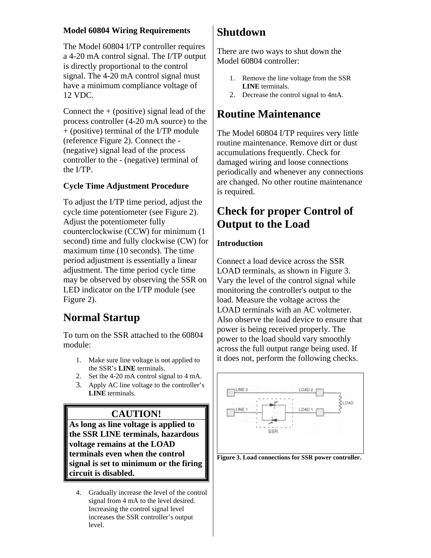### **Model 60804 Wiring Requirements**

The Model 60804 I/TP controller requires a 4-20 mA control signal. The I/TP output is directly proportional to the control signal. The 4-20 mA control signal must have a minimum compliance voltage of 12 VDC.

Connect the  $+$  (positive) signal lead of the process controller (4-20 mA source) to the + (positive) terminal of the I/TP module (reference Figure 2). Connect the - (negative) signal lead of the process controller to the - (negative) terminal of the I/TP.

### **Cycle Time Adjustment Procedure**

To adjust the I/TP time period, adjust the cycle time potentiometer (see Figure 2). Adjust the potentiometer fully counterclockwise (CCW) for minimum (1 second) time and fully clockwise (CW) for maximum time (10 seconds). The time period adjustment is essentially a linear adjustment. The time period cycle time may be observed by observing the SSR on LED indicator on the I/TP module (see Figure 2).

## **Normal Startup**

To turn on the SSR attached to the 60804 module:

- 1. Make sure line voltage is not applied to the SSR's **LINE** terminals.
- 2. Set the 4-20 mA control signal to 4 mA.
- 3. Apply AC line voltage to the controller's **LINE** terminals.

## **CAUTION!**

**As long as line voltage is applied to the SSR LINE terminals, hazardous voltage remains at the LOAD terminals even when the control signal is set to minimum or the firing circuit is disabled.** 

4. Gradually increase the level of the control signal from 4 mA to the level desired. Increasing the control signal level increases the SSR controller's output level.

## **Shutdown**

There are two ways to shut down the Model 60804 controller:

- 1. Remove the line voltage from the SSR **LINE** terminals.
- 2. Decrease the control signal to 4mA.

## **Routine Maintenance**

The Model 60804 I/TP requires very little routine maintenance. Remove dirt or dust accumulations frequently. Check for damaged wiring and loose connections periodically and whenever any connections are changed. No other routine maintenance is required.

## **Check for proper Control of Output to the Load**

#### **Introduction**

Connect a load device across the SSR LOAD terminals, as shown in Figure 3. Vary the level of the control signal while monitoring the controller's output to the load. Measure the voltage across the LOAD terminals with an AC voltmeter. Also observe the load device to ensure that power is being received properly. The power to the load should vary smoothly across the full output range being used. If it does not, perform the following checks.



**Figure 3. Load connections for SSR power controller.**